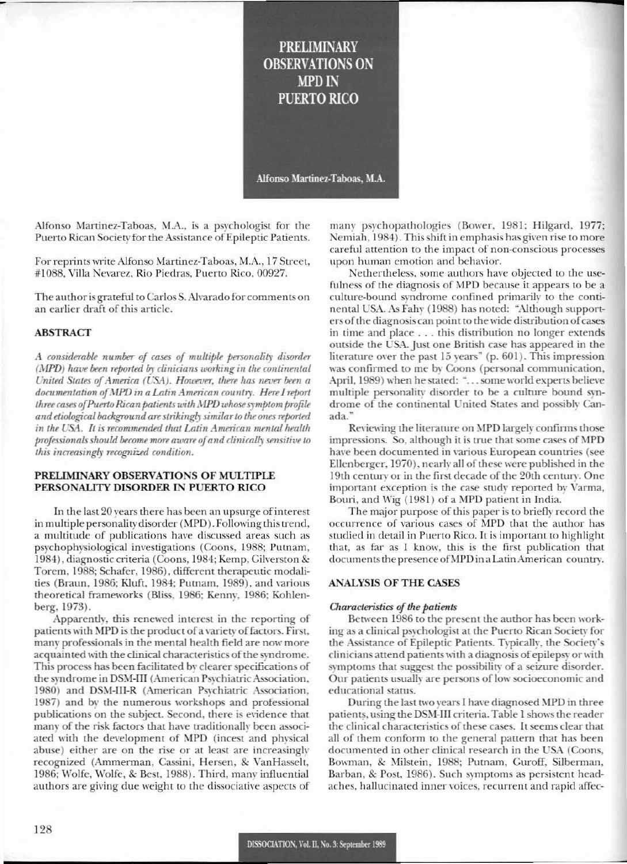**PRELIMINARY OBSERVATIONS ON MPD IN PUERTO RICO** 

Alfonso Martinez-Taboas, M.A.

Alfonso Martinez-Taboas, M.A., is a psychologist for the Puerto Rican Society for the Assistance of Epileptic Patients.

For reprints write Alfonso Martinez-Taboas, M.A., 17 Street, #1088, Villa Nevarez, Rio Piedras, Puerto Rico, 00927.

The author is grateful to Carlos S. Alvarado for comments on an earlier draft of this article.

# **ABSTRACT**

A considerable number of cases of multiple personality disorder (MPD) have been reported by clinicians working in the continental United States of America (USA). However, there has never been a documentation of MPD in a Latin American country. Here I report three cases of Puerto Rican patients with MPD whose symptom profile and etiological background are strikingly similar to the ones reported in the USA. It is recommended that Latin American mental health professionals should become more aware of and clinically sensitive to this increasingly recognized condition.

## PRELIMINARY OBSERVATIONS OF MULTIPLE PERSONALITY DISORDER IN PUERTO RICO

In the last 20 years there has been an upsurge of interest in multiple personality disorder (MPD). Following this trend, a multitude of publications have discussed areas such as psychophysiological investigations (Coons, 1988; Putnam, 1984), diagnostic criteria (Coons, 1984; Kemp, Gilverston & Torem, 1988; Schafer, 1986), different therapeutic modalities (Braun, 1986; Kluft, 1984; Putnam, 1989), and various theoretical frameworks (Bliss, 1986; Kenny, 1986; Kohlenberg, 1973).

Apparently, this renewed interest in the reporting of patients with MPD is the product of a variety of factors. First, many professionals in the mental health field are now more acquainted with the clinical characteristics of the syndrome. This process has been facilitated by clearer specifications of the syndrome in DSM-III (American Psychiatric Association, 1980) and DSM-III-R (American Psychiatric Association, 1987) and by the numerous workshops and professional publications on the subject. Second, there is evidence that many of the risk factors that have traditionally been associated with the development of MPD (incest and physical abuse) either are on the rise or at least are increasingly recognized (Ammerman, Cassini, Hersen, & VanHasselt, 1986; Wolfe, Wolfe, & Best, 1988). Third, many influential authors are giving due weight to the dissociative aspects of

many psychopathologies (Bower, 1981; Hilgard, 1977; Nemiah, 1984). This shift in emphasis has given rise to more careful attention to the impact of non-conscious processes upon human emotion and behavior.

Nethertheless, some authors have objected to the usefulness of the diagnosis of MPD because it appears to be a culture-bound syndrome confined primarily to the continental USA. As Fahy (1988) has noted: "Although supporters of the diagnosis can point to the wide distribution of cases in time and place . . . this distribution no longer extends outside the USA. Just one British case has appeared in the literature over the past 15 years" (p. 601). This impression was confirmed to me by Coons (personal communication, April, 1989) when he stated: "... some world experts believe multiple personality disorder to be a culture bound syndrome of the continental United States and possibly Canada.'

Reviewing the literature on MPD largely confirms those impressions. So, although it is true that some cases of MPD have been documented in various European countries (see Ellenberger, 1970), nearly all of these were published in the 19th century or in the first decade of the 20th century. One important exception is the case study reported by Varma, Bouri, and Wig (1981) of a MPD patient in India.

The major purpose of this paper is to briefly record the occurrence of various cases of MPD that the author has studied in detail in Puerto Rico. It is important to highlight that, as far as I know, this is the first publication that documents the presence of MPD in a Latin American country.

# **ANALYSIS OF THE CASES**

#### Characteristics of the patients

Between 1986 to the present the author has been working as a clinical psychologist at the Puerto Rican Society for the Assistance of Epileptic Patients. Typically, the Society's clinicians attend patients with a diagnosis of epilepsy or with symptoms that suggest the possibility of a seizure disorder. Our patients usually are persons of low socioeconomic and educational status.

During the last two years I have diagnosed MPD in three patients, using the DSM-III criteria. Table 1 shows the reader the clinical characteristics of these cases. It seems clear that all of them conform to the general pattern that has been documented in other clinical research in the USA (Coons, Bowman, & Milstein, 1988; Putnam, Guroff, Silberman, Barban, & Post, 1986). Such symptoms as persistent headaches, hallucinated inner voices, recurrent and rapid affec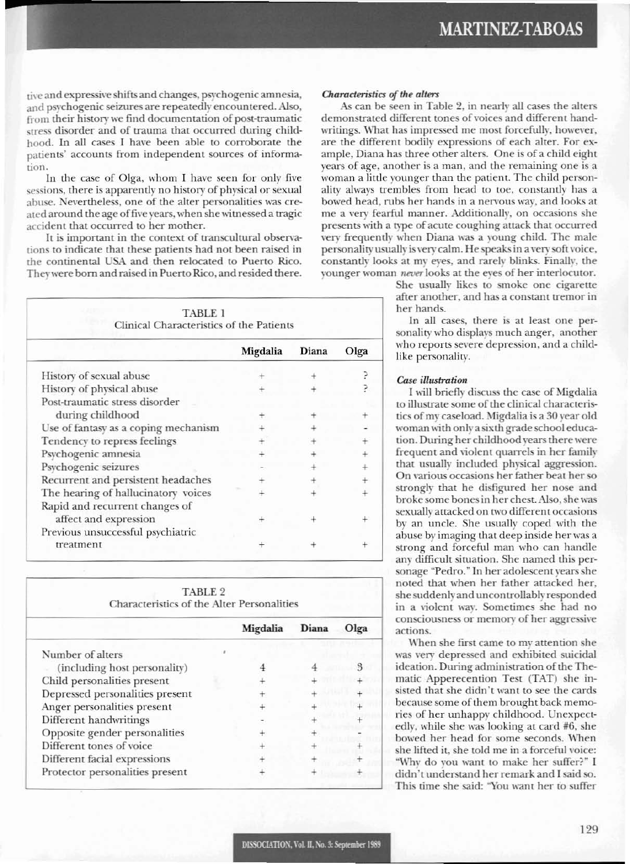tive and expressive shifts and changes, psychogenic amnesia, and psychogenic seizures are repeatedly encountered, Also, from their history we find documentation of post-traumatic stress disorder and of trauma that occurred during childhood. In all cases I have been able to corroborate the patients' accounts from independent sources of information.

In the case of Olga, whom I have seen for only five sessions, there is apparently no history of physical or sexual abuse. Nevertheless, one of the alter personalities was created around the age of five years, when she witnessed a tragic accident that occurred to her mother.

It is important in the context of transcultural observations to indicate that these patients had not been raised in the continental USA and then relocated to Puerto Rico, They were born and raised in Puerto Rico, and resided there.

| TABLE 1<br>Clinical Characteristics of the Patients        |          |       |      |  |  |  |
|------------------------------------------------------------|----------|-------|------|--|--|--|
|                                                            | Migdalia | Diana | Olga |  |  |  |
| History of sexual abuse                                    |          |       |      |  |  |  |
| History of physical abuse                                  |          |       |      |  |  |  |
| Post-traumatic stress disorder                             |          |       |      |  |  |  |
| during childhood                                           |          |       |      |  |  |  |
| Use of fantasy as a coping mechanism                       |          |       |      |  |  |  |
| Tendency to repress feelings                               |          |       |      |  |  |  |
| Psychogenic amnesia                                        |          |       |      |  |  |  |
| Psychogenic seizures                                       |          |       |      |  |  |  |
| Recurrent and persistent headaches                         |          |       |      |  |  |  |
| The hearing of hallucinatory voices                        |          |       |      |  |  |  |
| Rapid and recurrent changes of                             |          |       |      |  |  |  |
| affect and expression<br>Previous unsuccessful psychiatric |          |       |      |  |  |  |
| treatment                                                  |          |       |      |  |  |  |

| TABLE 2                                           |  |  |  |  |  |  |  |
|---------------------------------------------------|--|--|--|--|--|--|--|
| <b>Characteristics of the Alter Personalities</b> |  |  |  |  |  |  |  |

|                                 | Migdalia | Diana | Olga |  |  |
|---------------------------------|----------|-------|------|--|--|
| Number of alters                |          |       |      |  |  |
| (including host personality)    |          |       |      |  |  |
| Child personalities present     |          |       |      |  |  |
| Depressed personalities present |          |       |      |  |  |
| Anger personalities present     |          |       |      |  |  |
| Different handwritings          |          |       |      |  |  |
| Opposite gender personalities   |          |       |      |  |  |
| Different tones of voice        |          |       |      |  |  |
| Different facial expressions    |          |       |      |  |  |
| Protector personalities present |          |       |      |  |  |
|                                 |          |       |      |  |  |

#### *Characteristics of the alters*

As can be seen in Table 2, in nearly all cases the alters demonstrated different tones of voices and different handwritings. What has impressed me most forcefully, however, are the different bodily expressions of each alter. For example, Diana has three other alters. One is of a child eight years of age, another is a man, and the remaining one is a woman a little younger than the patient. The child personality always trembles from head to toe, constantly has a bowed head, rubs her hands in a nervous way, and looks at me a very fearful manner. Additionally, on occasions she presents with a type of acute coughing attack that occurred very frequently when Diana was a young child. The male personality usually is very calm. He speaks in a very soft voice, constantly looks at my eyes, and rarely blinks. Finally, the younger woman never looks at the eyes of her interlocutor.

> She usually likes to smoke one cigarette after another, and has a constant tremor in her hands.

> In all cases, there is at least one personality who displays much anger, another who reports severe depression, and a childlike personality,

## *Case illustratioll*

I will briefly discuss the case of Migdalia to illustrate some of the clinical characteristics of my caseload. Migdalia is a 30 year old woman with only a sixth grade school education. During her childhood years there were frequent and violent quarrels in her family that usually included physical aggression. On various occasions her father beat her so strongly that he disfigured her nose and broke some bones in her chest. Also, she was sexually attacked on two different occasions by an uncle. She usually coped with the abuse by imaging that deep inside her was a strong and forceful man who can handle any difficult situation. She named this personage "Pedro." In her adolescent years she noted that when her father attacked her, she suddenly and uncontrollably responded in a violent way. Sometimes she had no consciousness or memory of her aggressive actions.

When she first came to my attention she was very depressed and exhibited suicidal ideation. During administration of the Thematic Apperecemion Test (TAT) she insisted that she didn't want to see the cards because some of them brought back memories of her unhappy childhood. Unexpectedly, while she was looking at card #6, she bowed her head for some seconds, When she lifted it, she told me in a forceful voice: "Why do you want to make her suffer?" I didn't understand her remark and I said so. This time she said: "You want her to suffer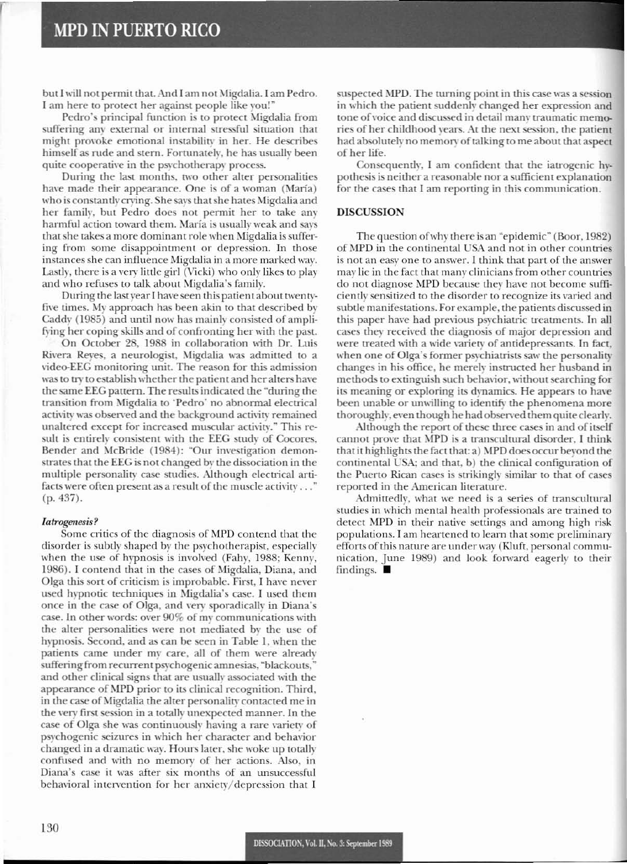r

but I will not permit that. And I am not Migdalia. I am Pedro. I am here to protect her against people like you!'

Pedro's principal function is to protect Migdalia from suffering any external or internal stressful situation that might provoke emotional instability in her. He describes himself as rude and stern. Fortunately, he has usually been quite cooperative in the psychotherapy process.

During the last months, two other alter personalities have made their appearance. One is of a woman (María) who is constantly crying. She says that she hates Migdalia and her family, but Pedro does not permit her to take any harmful action toward them. María is usually weak and says that she takes a more dominant role when Migdalia is suffering from some disappointment or depression. In those instances she can influence Migdalia in a more marked way. Lastly, there is a very little girl (Vicki) who only likes to play and who refuses to talk about Migdalia's family.

During the last year I have seen this patient about twentyfive times. My approach has been akin to that described by Caddy (1985) and until now has mainly consisted of amplifying her coping skills and of confronting her with the past.

On October 28, 1988 in collaboration with Dr. Luis Rivera Reyes, a neurologist, Migdalia was admitted to a video-EEG monitoring unit. The reason for this admission was to try to establish whether the patient and her alters have the same EEG pattern. The results indicated the "during the transition from Migdalia to 'Pedro' no abnormal electrical activity was observed and the background activity remained unaltered except for increased muscular activity." This result is entirely consistent with the EEG study of Cocores, Bender and McBride (1984): "Our investigation demonstrates that the EEG is not changed by the dissociation in the multiple personality case studies. Although electrical artifacts were often present as a result of the muscle activity  $\dots$ " (p.437).

## *latrogenesis?*

Some critics of the diagnosis of MPD contend that the disorder is subtly shaped by the psychotherapist, especially when the use of hypnosis is involved (Fahy, 1988; Kenny, 1986). I contend that in the cases of Migdalia, Diana, and Olga this sort of criticism is improbable. First, I have never used hypnotic techniques in Migdalia's case. I used them once in the case of Olga, and very sporadically in Diana's case. In other words: over  $90\%$  of my communications with the alter personalities were not mediated by the use of hypnosis. Second, and as can be seen in Table 1, when the patients came under my care, all of them were already suffering from recurrent psychogenic amnesias, "blackouts," and other clinical signs that are usually associated with the appearance of MPD prior to its clinical recognition. Third, in the case of Migdalia the alter personality contacted me in the very first session in a totally unexpected manner. In the case of Olga she was continuously having a rare variety of psychogenic seizures in which her character and behavior changed in a dramatic way. Hours later, she woke up totally confused and with no memory of her actions. Also. in Diana's case it was after six months of an unsuccessful behavioral intervention for her anxiety/depression that I

suspected MPD. The turning point in this case was a session in which the patient suddenly changed her expression and tone of voice and discussed in detail many traumatic memories of her childhood years. At the next session, the patient had absolutely no memory of talking to me about that aspect of her life.

Consequently, I am confident that the iatrogenic hypothesis is neither a reasonable nor a sufficient explanation for the cases that I am reporting in this communication.

### DISCUSSION

The question of why there is an "epidemic" (Boor, 1982) of MPD in the continental USA and not in other countries is not an easy one to answer. I think that part of the answer may lie in the fact that many clinicians from other countries do not diagnose MPD because they have not become sufficiently sensitized to the disorder to recognize its varied and subtle manifestations. For example, the patients discussed in this paper have had previous psychiatric treatments. In all cases they received the diagnosis of major depression and were treated with a wide variety of antidepressants. In fact, when one of Olga's former psychiatrists saw the personality changes in his office, he merely instructed her husband in methods to extinguish such behavior, without searching for its meaning or exploring its dynamics. He appears to have been unable or unwilling to identify the phenomena more thoroughly, even though he had observed them quite clearly.

Although the report of these three cases in and of itself cannot prove that MPD is a transcultural disorder, I think that it highlights the fact that: a) MPD does occur beyond the continental USA; and that, b) the clinical configuration of the Puerto Rican cases is strikingly similar to that of cases reported in the American literature.

Admittedly, what we need is a series of transcultural studics in which mental health professionals are trained to detect MPD in their native settings and among high risk populations. I am heartcned to learn that some preliminary efforts of this nature are under way (Kluft, personal communication, June 1989) and look forward eagerly to their findings.  $\blacksquare$